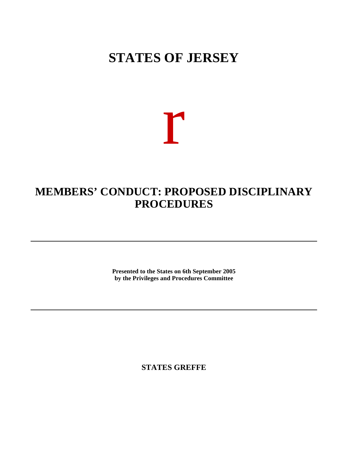## **STATES OF JERSEY**

# r

### **MEMBERS' CONDUCT: PROPOSED DISCIPLINARY PROCEDURES**

**Presented to the States on 6th September 2005 by the Privileges and Procedures Committee**

**STATES GREFFE**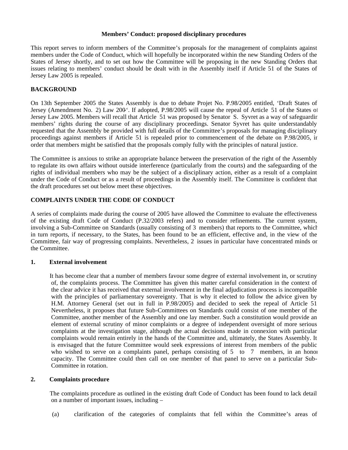#### **Members' Conduct: proposed disciplinary procedures**

This report serves to inform members of the Committee's proposals for the management of complaints against members under the Code of Conduct, which will hopefully be incorporated within the new Standing Orders of the States of Jersey shortly, and to set out how the Committee will be proposing in the new Standing Orders that issues relating to members' conduct should be dealt with in the Assembly itself if Article 51 of the States of Jersey Law 2005 is repealed.

#### **BACKGROUND**

On 13th September 2005 the States Assembly is due to debate Projet No. P.98/2005 entitled, 'Draft States of Jersey (Amendment No. 2) Law 200<sup>t</sup>. If adopted, P.98/2005 will cause the repeal of Article 51 of the States of Jersey Law 2005. Members will recall that Article 51 was proposed by Senator S. Syvret as a way of safeguarding members' rights during the course of any disciplinary proceedings. Senator Syvret has quite understandably requested that the Assembly be provided with full details of the Committee's proposals for managing disciplinary proceedings against members if Article 51 is repealed prior to commencement of the debate on P.98/2005, in order that members might be satisfied that the proposals comply fully with the principles of natural justice.

The Committee is anxious to strike an appropriate balance between the preservation of the right of the Assembly to regulate its own affairs without outside interference (particularly from the courts) and the safeguarding of the rights of individual members who may be the subject of a disciplinary action, either as a result of a complaint under the Code of Conduct or as a result of proceedings in the Assembly itself. The Committee is confident that the draft procedures set out below meet these objectives.

#### **COMPLAINTS UNDER THE CODE OF CONDUCT**

A series of complaints made during the course of 2005 have allowed the Committee to evaluate the effectiveness of the existing draft Code of Conduct (P.32/2003 refers) and to consider refinements. The current system, involving a Sub-Committee on Standards (usually consisting of 3 members) that reports to the Committee, which in turn reports, if necessary, to the States, has been found to be an efficient, effective and, in the view of the Committee, fair way of progressing complaints. Nevertheless, 2 issues in particular have concentrated minds on the Committee.

#### **1. External involvement**

 It has become clear that a number of members favour some degree of external involvement in, or scrutiny of, the complaints process. The Committee has given this matter careful consideration in the context of the clear advice it has received that external involvement in the final adjudication process is incompatible with the principles of parliamentary sovereignty. That is why it elected to follow the advice given by H.M. Attorney General (set out in full in P.98/2005) and decided to seek the repeal of Article 51. Nevertheless, it proposes that future Sub-Committees on Standards could consist of one member of the Committee, another member of the Assembly and one lay member. Such a constitution would provide an element of external scrutiny of minor complaints or a degree of independent oversight of more serious complaints at the investigation stage, although the actual decisions made in connexion with particular complaints would remain entirely in the hands of the Committee and, ultimately, the States Assembly. It is envisaged that the future Committee would seek expressions of interest from members of the public who wished to serve on a complaints panel, perhaps consisting of  $5$  to  $7$  members, in an honor capacity. The Committee could then call on one member of that panel to serve on a particular Sub-Committee in rotation.

#### **2. Complaints procedure**

 The complaints procedure as outlined in the existing draft Code of Conduct has been found to lack detail on a number of important issues, including –

(a) clarification of the categories of complaints that fell within the Committee's areas of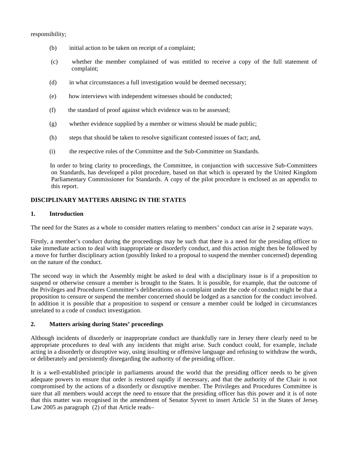responsibility;

- (b) initial action to be taken on receipt of a complaint;
- (c) whether the member complained of was entitled to receive a copy of the full statement of complaint;
- (d) in what circumstances a full investigation would be deemed necessary;
- (e) how interviews with independent witnesses should be conducted;
- (f) the standard of proof against which evidence was to be assessed;
- (g) whether evidence supplied by a member or witness should be made public;
- (h) steps that should be taken to resolve significant contested issues of fact; and,
- (i) the respective roles of the Committee and the Sub-Committee on Standards.

 In order to bring clarity to proceedings, the Committee, in conjunction with successive Sub-Committees on Standards, has developed a pilot procedure, based on that which is operated by the United Kingdom Parliamentary Commissioner for Standards. A copy of the pilot procedure is enclosed as an appendix to this report.

#### **DISCIPLINARY MATTERS ARISING IN THE STATES**

#### **1. Introduction**

The need for the States as a whole to consider matters relating to members' conduct can arise in 2 separate ways.

Firstly, a member's conduct during the proceedings may be such that there is a need for the presiding officer to take immediate action to deal with inappropriate or disorderly conduct, and this action might then be followed by a move for further disciplinary action (possibly linked to a proposal to suspend the member concerned) depending on the nature of the conduct.

The second way in which the Assembly might be asked to deal with a disciplinary issue is if a proposition to suspend or otherwise censure a member is brought to the States. It is possible, for example, that the outcome of the Privileges and Procedures Committee's deliberations on a complaint under the code of conduct might be that a proposition to censure or suspend the member concerned should be lodged as a sanction for the conduct involved. In addition it is possible that a proposition to suspend or censure a member could be lodged in circumstances unrelated to a code of conduct investigation.

#### **2. Matters arising during States' proceedings**

Although incidents of disorderly or inappropriate conduct are thankfully rare in Jersey there clearly need to be appropriate procedures to deal with any incidents that might arise. Such conduct could, for example, include acting in a disorderly or disruptive way, using insulting or offensive language and refusing to withdraw the words, or deliberately and persistently disregarding the authority of the presiding officer.

It is a well-established principle in parliaments around the world that the presiding officer needs to be given adequate powers to ensure that order is restored rapidly if necessary, and that the authority of the Chair is not compromised by the actions of a disorderly or disruptive member. The Privileges and Procedures Committee is sure that all members would accept the need to ensure that the presiding officer has this power and it is of note that this matter was recognised in the amendment of Senator Syvret to insert Article 51 in the States of Jersey Law 2005 as paragraph  $(2)$  of that Article reads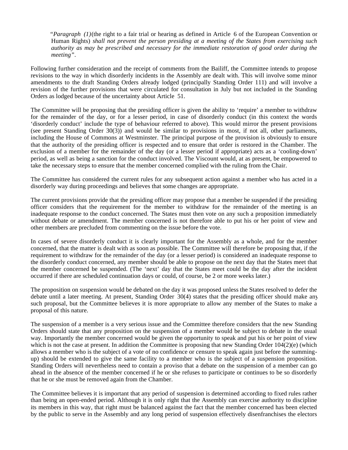*"Paragraph (1)*(the right to a fair trial or hearing as defined in Article 6 of the European Convention on Human Rights) *shall not prevent the person presiding at a meeting of the States from exercising such authority as may be prescribed and necessary for the immediate restoration of good order during the meeting"*.

Following further consideration and the receipt of comments from the Bailiff, the Committee intends to propose revisions to the way in which disorderly incidents in the Assembly are dealt with. This will involve some minor amendments to the draft Standing Orders already lodged (principally Standing Order 111) and will involve a revision of the further provisions that were circulated for consultation in July but not included in the Standing Orders as lodged because of the uncertainty about Article 51.

The Committee will be proposing that the presiding officer is given the ability to 'require' a member to withdraw for the remainder of the day, or for a lesser period, in case of disorderly conduct (in this context the words 'disorderly conduct' include the type of behaviour referred to above). This would mirror the present provisions (see present Standing Order 30(3)) and would be similar to provisions in most, if not all, other parliaments, including the House of Commons at Westminster. The principal purpose of the provision is obviously to ensure that the authority of the presiding officer is respected and to ensure that order is restored in the Chamber. The exclusion of a member for the remainder of the day (or a lesser period if appropriate) acts as a 'cooling-down' period, as well as being a sanction for the conduct involved. The Viscount would, at as present, be empowered to take the necessary steps to ensure that the member concerned complied with the ruling from the Chair.

The Committee has considered the current rules for any subsequent action against a member who has acted in a disorderly way during proceedings and believes that some changes are appropriate.

The current provisions provide that the presiding officer may propose that a member be suspended if the presiding officer considers that the requirement for the member to withdraw for the remainder of the meeting is an inadequate response to the conduct concerned. The States must then vote on any such a proposition immediately without debate or amendment. The member concerned is not therefore able to put his or her point of view and other members are precluded from commenting on the issue before the vote.

In cases of severe disorderly conduct it is clearly important for the Assembly as a whole, and for the member concerned, that the matter is dealt with as soon as possible. The Committee will therefore be proposing that, if the requirement to withdraw for the remainder of the day (or a lesser period) is considered an inadequate response to the disorderly conduct concerned, any member should be able to propose on the next day that the States meet that the member concerned be suspended. (The 'next' day that the States meet could be the day after the incident occurred if there are scheduled continuation days or could, of course, be 2 or more weeks later.)

The proposition on suspension would be debated on the day it was proposed unless the States resolved to defer the debate until a later meeting. At present, Standing Order 30(4) states that the presiding officer should make any such proposal, but the Committee believes it is more appropriate to allow any member of the States to make a proposal of this nature.

The suspension of a member is a very serious issue and the Committee therefore considers that the new Standing Orders should state that any proposition on the suspension of a member would be subject to debate in the usual way. Importantly the member concerned would be given the opportunity to speak and put his or her point of view which is not the case at present. In addition the Committee is proposing that new Standing Order 104(2)(e) (which allows a member who is the subject of a vote of no confidence or censure to speak again just before the summingup) should be extended to give the same facility to a member who is the subject of a suspension proposition. Standing Orders will nevertheless need to contain a proviso that a debate on the suspension of a member can go ahead in the absence of the member concerned if he or she refuses to participate or continues to be so disorderly that he or she must be removed again from the Chamber.

The Committee believes it is important that any period of suspension is determined according to fixed rules rather than being an open-ended period. Although it is only right that the Assembly can exercise authority to discipline its members in this way, that right must be balanced against the fact that the member concerned has been elected by the public to serve in the Assembly and any long period of suspension effectively disenfranchises the electors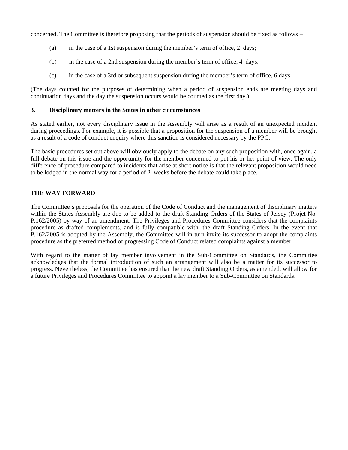concerned. The Committee is therefore proposing that the periods of suspension should be fixed as follows –

- (a) in the case of a 1st suspension during the member's term of office, 2 days;
- (b) in the case of a 2nd suspension during the member's term of office, 4 days;
- (c) in the case of a 3rd or subsequent suspension during the member's term of office, 6 days.

(The days counted for the purposes of determining when a period of suspension ends are meeting days and continuation days and the day the suspension occurs would be counted as the first day.)

#### **3. Disciplinary matters in the States in other circumstances**

As stated earlier, not every disciplinary issue in the Assembly will arise as a result of an unexpected incident during proceedings. For example, it is possible that a proposition for the suspension of a member will be brought as a result of a code of conduct enquiry where this sanction is considered necessary by the PPC.

The basic procedures set out above will obviously apply to the debate on any such proposition with, once again, a full debate on this issue and the opportunity for the member concerned to put his or her point of view. The only difference of procedure compared to incidents that arise at short notice is that the relevant proposition would need to be lodged in the normal way for a period of 2 weeks before the debate could take place.

#### **THE WAY FORWARD**

The Committee's proposals for the operation of the Code of Conduct and the management of disciplinary matters within the States Assembly are due to be added to the draft Standing Orders of the States of Jersey (Projet No. P.162/2005) by way of an amendment. The Privileges and Procedures Committee considers that the complaints procedure as drafted complements, and is fully compatible with, the draft Standing Orders. In the event that P.162/2005 is adopted by the Assembly, the Committee will in turn invite its successor to adopt the complaints procedure as the preferred method of progressing Code of Conduct related complaints against a member.

With regard to the matter of lay member involvement in the Sub-Committee on Standards, the Committee acknowledges that the formal introduction of such an arrangement will also be a matter for its successor to progress. Nevertheless, the Committee has ensured that the new draft Standing Orders, as amended, will allow for a future Privileges and Procedures Committee to appoint a lay member to a Sub-Committee on Standards.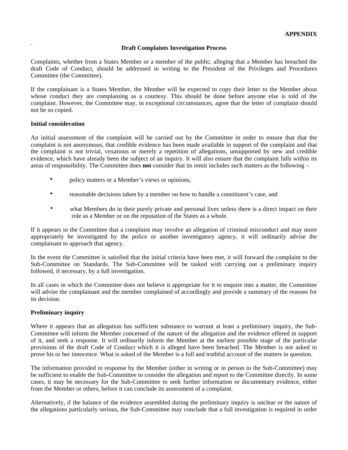#### **Draft Complaints Investigation Process**

Complaints, whether from a States Member or a member of the public, alleging that a Member has breached the draft Code of Conduct, should be addressed in writing to the President of the Privileges and Procedures Committee (the Committee).

If the complainant is a States Member, the Member will be expected to copy their letter to the Member about whose conduct they are complaining as a courtesy. This should be done before anyone else is told of the complaint. However, the Committee may, in exceptional circumstances, agree that the letter of complaint should not be so copied.

#### **Initial consideration**

An initial assessment of the complaint will be carried out by the Committee in order to ensure that that the complaint is not anonymous, that credible evidence has been made available in support of the complaint and that the complaint is not trivial, vexatious or merely a repetition of allegations, unsupported by new and credible evidence, which have already been the subject of an inquiry. It will also ensure that the complaint falls within its areas of responsibility. The Committee does **not** consider that its remit includes such matters as the following –

- policy matters or a Member's views or opinions,
- reasonable decisions taken by a member on how to handle a constituent's case, and
- what Members do in their purely private and personal lives unless there is a direct impact on their role as a Member or on the reputation of the States as a whole.

If it appears to the Committee that a complaint may involve an allegation of criminal misconduct and may more appropriately be investigated by the police or another investigatory agency, it will ordinarily advise the complainant to approach that agency.

In the event the Committee is satisfied that the initial criteria have been met, it will forward the complaint to the Sub-Committee on Standards. The Sub-Committee will be tasked with carrying out a preliminary inquiry followed, if necessary, by a full investigation.

In all cases in which the Committee does not believe it appropriate for it to enquire into a matter, the Committee will advise the complainant and the member complained of accordingly and provide a summary of the reasons for its decision.

#### **Preliminary inquiry**

Where it appears that an allegation has sufficient substance to warrant at least a preliminary inquiry, the Sub-Committee will inform the Member concerned of the nature of the allegation and the evidence offered in support of it, and seek a response. It will ordinarily inform the Member at the earliest possible stage of the particular provisions of the draft Code of Conduct which it is alleged have been breached. The Member is not asked to prove his or her innocence. What is asked of the Member is a full and truthful account of the matters in question.

The information provided in response by the Member (either in writing or in person to the Sub-Committee) may be sufficient to enable the Sub-Committee to consider the allegation and report to the Committee directly. In some cases, it may be necessary for the Sub-Committee to seek further information or documentary evidence, either from the Member or others, before it can conclude its assessment of a complaint.

Alternatively, if the balance of the evidence assembled during the preliminary inquiry is unclear or the nature of the allegations particularly serious, the Sub-Committee may conclude that a full investigation is required in order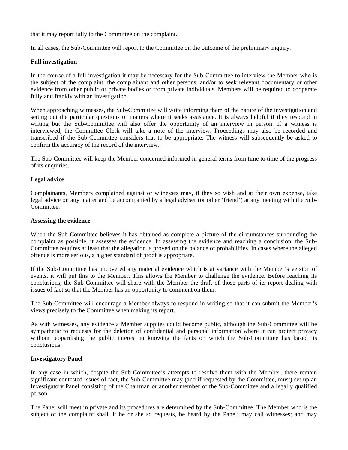that it may report fully to the Committee on the complaint.

In all cases, the Sub-Committee will report to the Committee on the outcome of the preliminary inquiry.

#### **Full investigation**

In the course of a full investigation it may be necessary for the Sub-Committee to interview the Member who is the subject of the complaint, the complainant and other persons, and/or to seek relevant documentary or other evidence from other public or private bodies or from private individuals. Members will be required to cooperate fully and frankly with an investigation.

When approaching witnesses, the Sub-Committee will write informing them of the nature of the investigation and setting out the particular questions or matters where it seeks assistance. It is always helpful if they respond in writing but the Sub-Committee will also offer the opportunity of an interview in person. If a witness is interviewed, the Committee Clerk will take a note of the interview. Proceedings may also be recorded and transcribed if the Sub-Committee considers that to be appropriate. The witness will subsequently be asked to confirm the accuracy of the record of the interview.

The Sub-Committee will keep the Member concerned informed in general terms from time to time of the progress of its enquiries.

#### **Legal advice**

Complainants, Members complained against or witnesses may, if they so wish and at their own expense, take legal advice on any matter and be accompanied by a legal adviser (or other 'friend') at any meeting with the Sub-Committee.

#### **Assessing the evidence**

When the Sub-Committee believes it has obtained as complete a picture of the circumstances surrounding the complaint as possible, it assesses the evidence. In assessing the evidence and reaching a conclusion, the Sub-Committee requires at least that the allegation is proved on the balance of probabilities. In cases where the alleged offence is more serious, a higher standard of proof is appropriate.

If the Sub-Committee has uncovered any material evidence which is at variance with the Member's version of events, it will put this to the Member. This allows the Member to challenge the evidence. Before reaching its conclusions, the Sub-Committee will share with the Member the draft of those parts of its report dealing with issues of fact so that the Member has an opportunity to comment on them.

The Sub-Committee will encourage a Member always to respond in writing so that it can submit the Member's views precisely to the Committee when making its report.

As with witnesses, any evidence a Member supplies could become public, although the Sub-Committee will be sympathetic to requests for the deletion of confidential and personal information where it can protect privacy without jeopardising the public interest in knowing the facts on which the Sub-Committee has based its conclusions.

#### **Investigatory Panel**

In any case in which, despite the Sub-Committee's attempts to resolve them with the Member, there remain significant contested issues of fact, the Sub-Committee may (and if requested by the Committee, must) set up an Investigatory Panel consisting of the Chairman or another member of the Sub-Committee and a legally qualified person.

The Panel will meet in private and its procedures are determined by the Sub-Committee. The Member who is the subject of the complaint shall, if he or she so requests, be heard by the Panel; may call witnesses; and may